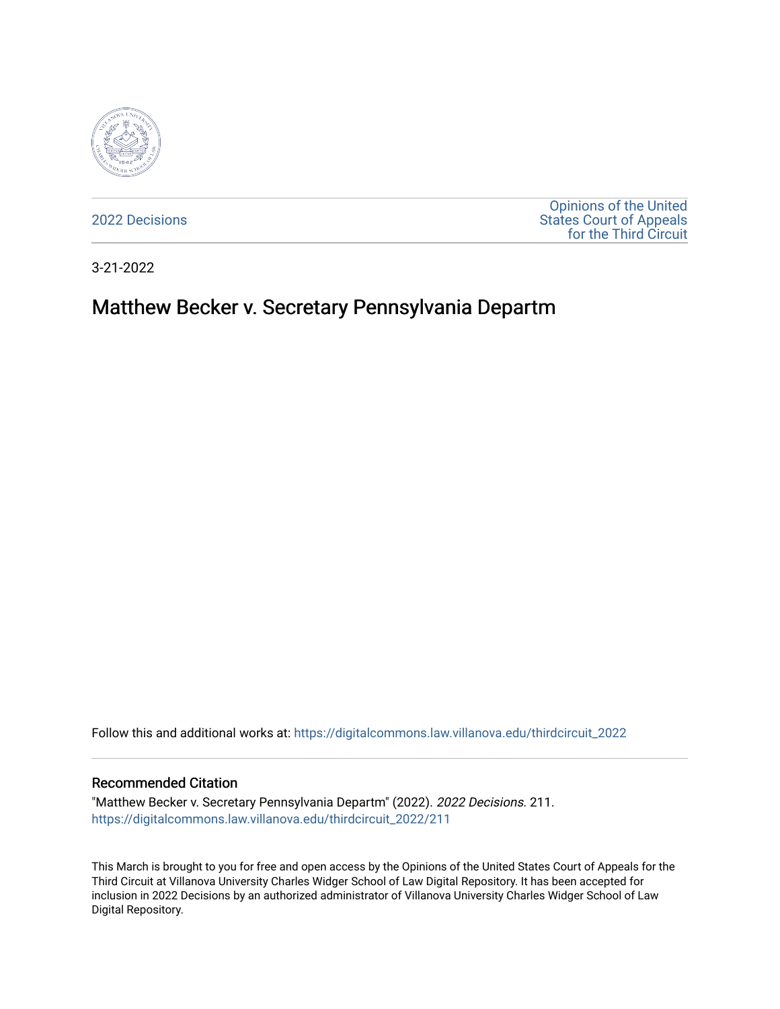

[2022 Decisions](https://digitalcommons.law.villanova.edu/thirdcircuit_2022)

[Opinions of the United](https://digitalcommons.law.villanova.edu/thirdcircuit)  [States Court of Appeals](https://digitalcommons.law.villanova.edu/thirdcircuit)  [for the Third Circuit](https://digitalcommons.law.villanova.edu/thirdcircuit) 

3-21-2022

# Matthew Becker v. Secretary Pennsylvania Departm

Follow this and additional works at: [https://digitalcommons.law.villanova.edu/thirdcircuit\\_2022](https://digitalcommons.law.villanova.edu/thirdcircuit_2022?utm_source=digitalcommons.law.villanova.edu%2Fthirdcircuit_2022%2F211&utm_medium=PDF&utm_campaign=PDFCoverPages) 

### Recommended Citation

"Matthew Becker v. Secretary Pennsylvania Departm" (2022). 2022 Decisions. 211. [https://digitalcommons.law.villanova.edu/thirdcircuit\\_2022/211](https://digitalcommons.law.villanova.edu/thirdcircuit_2022/211?utm_source=digitalcommons.law.villanova.edu%2Fthirdcircuit_2022%2F211&utm_medium=PDF&utm_campaign=PDFCoverPages)

This March is brought to you for free and open access by the Opinions of the United States Court of Appeals for the Third Circuit at Villanova University Charles Widger School of Law Digital Repository. It has been accepted for inclusion in 2022 Decisions by an authorized administrator of Villanova University Charles Widger School of Law Digital Repository.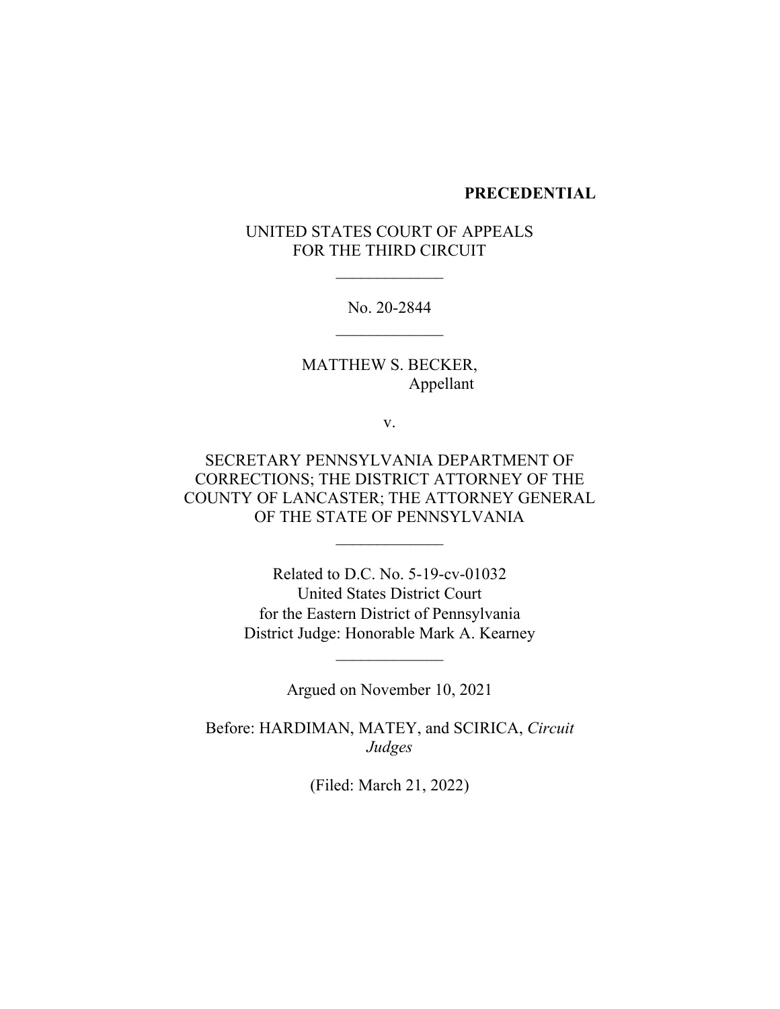### **PRECEDENTIAL**

## UNITED STATES COURT OF APPEALS FOR THE THIRD CIRCUIT

 $\frac{1}{2}$ 

No. 20-2844  $\frac{1}{2}$ 

MATTHEW S. BECKER, Appellant

v.

SECRETARY PENNSYLVANIA DEPARTMENT OF CORRECTIONS; THE DISTRICT ATTORNEY OF THE COUNTY OF LANCASTER; THE ATTORNEY GENERAL OF THE STATE OF PENNSYLVANIA

 $\frac{1}{2}$ 

Related to D.C. No. 5-19-cv-01032 United States District Court for the Eastern District of Pennsylvania District Judge: Honorable Mark A. Kearney

Argued on November 10, 2021

 $\frac{1}{2}$ 

Before: HARDIMAN, MATEY, and SCIRICA, *Circuit Judges*

(Filed: March 21, 2022)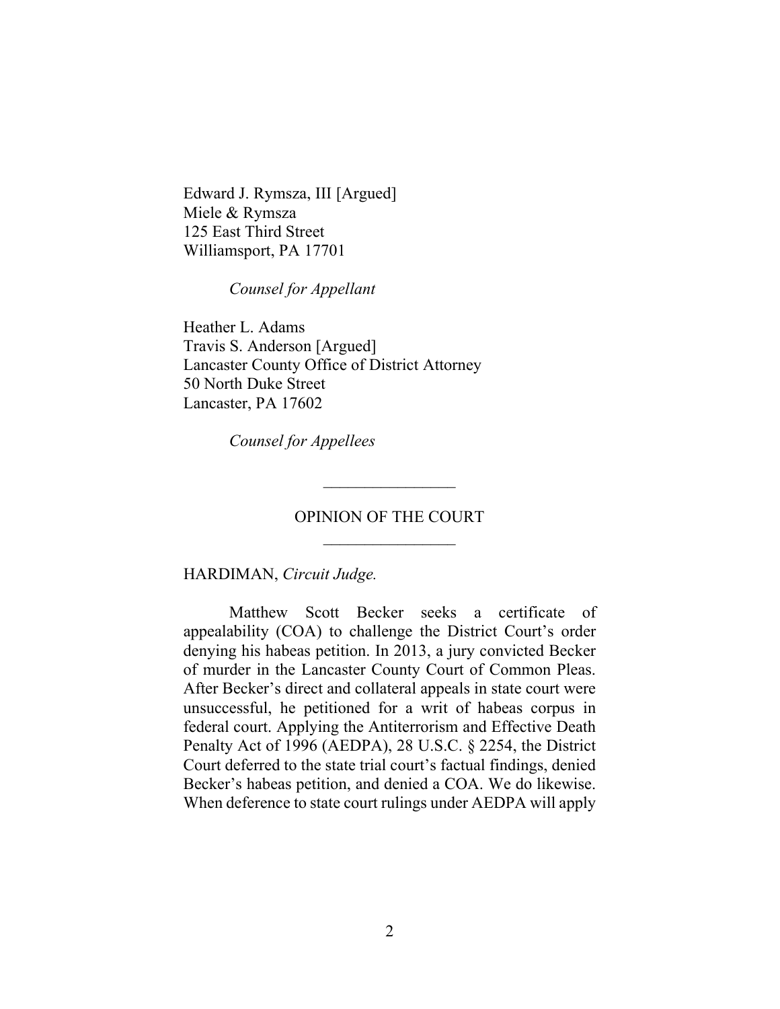Edward J. Rymsza, III [Argued] Miele & Rymsza 125 East Third Street Williamsport, PA 17701

*Counsel for Appellant*

Heather L. Adams Travis S. Anderson [Argued] Lancaster County Office of District Attorney 50 North Duke Street Lancaster, PA 17602

*Counsel for Appellees*

## OPINION OF THE COURT  $\frac{1}{2}$

 $\overline{\phantom{a}}$  , where  $\overline{\phantom{a}}$ 

HARDIMAN, *Circuit Judge.*

Matthew Scott Becker seeks a certificate of appealability (COA) to challenge the District Court's order denying his habeas petition. In 2013, a jury convicted Becker of murder in the Lancaster County Court of Common Pleas. After Becker's direct and collateral appeals in state court were unsuccessful, he petitioned for a writ of habeas corpus in federal court. Applying the Antiterrorism and Effective Death Penalty Act of 1996 (AEDPA), 28 U.S.C. § 2254, the District Court deferred to the state trial court's factual findings, denied Becker's habeas petition, and denied a COA. We do likewise. When deference to state court rulings under AEDPA will apply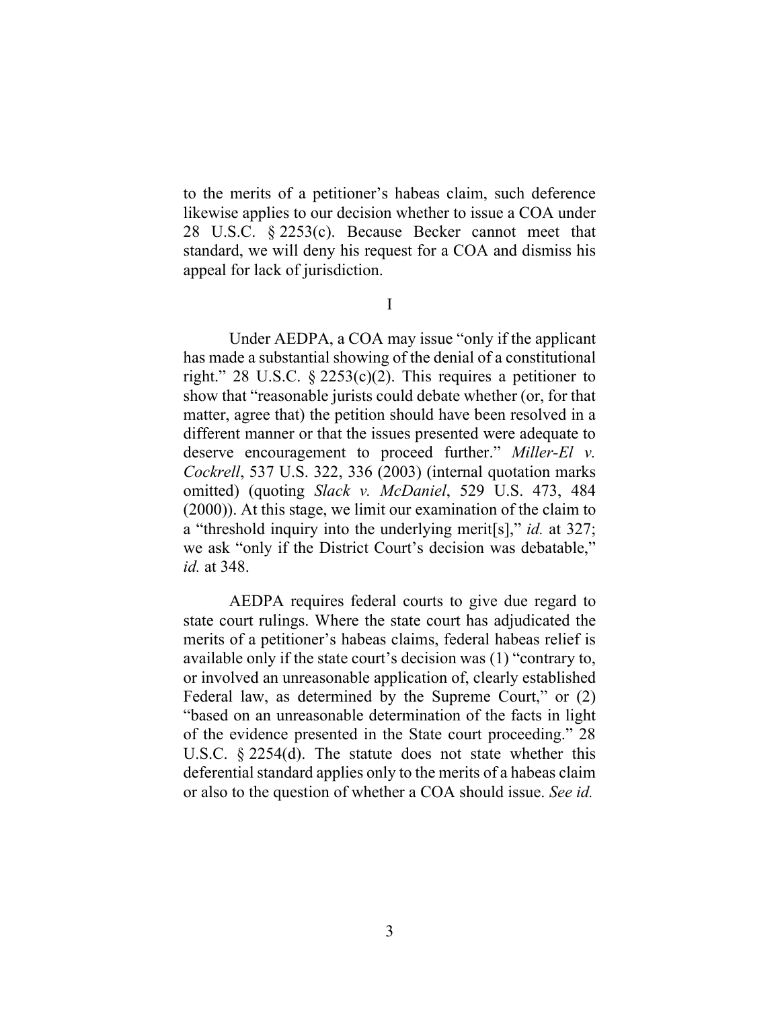to the merits of a petitioner's habeas claim, such deference likewise applies to our decision whether to issue a COA under 28 U.S.C. § 2253(c). Because Becker cannot meet that standard, we will deny his request for a COA and dismiss his appeal for lack of jurisdiction.

I

Under AEDPA, a COA may issue "only if the applicant has made a substantial showing of the denial of a constitutional right." 28 U.S.C.  $\S$  2253(c)(2). This requires a petitioner to show that "reasonable jurists could debate whether (or, for that matter, agree that) the petition should have been resolved in a different manner or that the issues presented were adequate to deserve encouragement to proceed further." *Miller-El v. Cockrell*, 537 U.S. 322, 336 (2003) (internal quotation marks omitted) (quoting *Slack v. McDaniel*, 529 U.S. 473, 484 (2000)). At this stage, we limit our examination of the claim to a "threshold inquiry into the underlying merit[s]," *id.* at 327; we ask "only if the District Court's decision was debatable," *id.* at 348.

AEDPA requires federal courts to give due regard to state court rulings. Where the state court has adjudicated the merits of a petitioner's habeas claims, federal habeas relief is available only if the state court's decision was (1) "contrary to, or involved an unreasonable application of, clearly established Federal law, as determined by the Supreme Court," or  $(2)$ "based on an unreasonable determination of the facts in light of the evidence presented in the State court proceeding." 28 U.S.C. § 2254(d). The statute does not state whether this deferential standard applies only to the merits of a habeas claim or also to the question of whether a COA should issue. *See id.*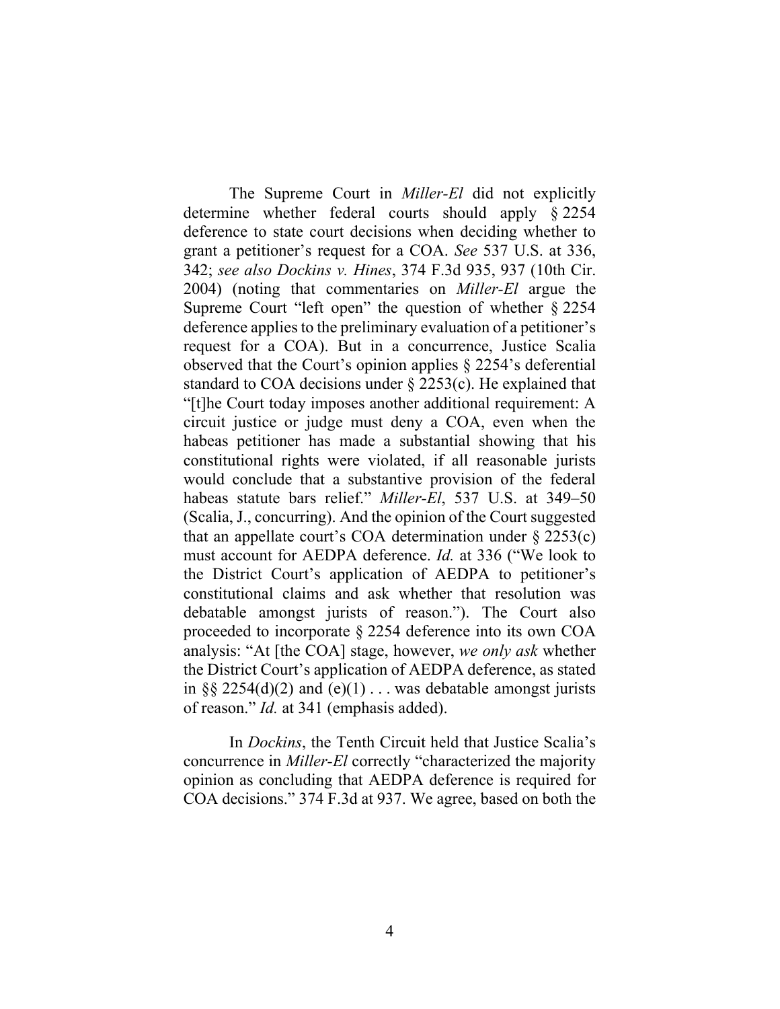The Supreme Court in *Miller-El* did not explicitly determine whether federal courts should apply § 2254 deference to state court decisions when deciding whether to grant a petitioner's request for a COA. *See* 537 U.S. at 336, 342; *see also Dockins v. Hines*, 374 F.3d 935, 937 (10th Cir. 2004) (noting that commentaries on *Miller-El* argue the Supreme Court "left open" the question of whether § 2254 deference applies to the preliminary evaluation of a petitioner's request for a COA). But in a concurrence, Justice Scalia observed that the Court's opinion applies § 2254's deferential standard to COA decisions under § 2253(c). He explained that "[t]he Court today imposes another additional requirement: A circuit justice or judge must deny a COA, even when the habeas petitioner has made a substantial showing that his constitutional rights were violated, if all reasonable jurists would conclude that a substantive provision of the federal habeas statute bars relief." *Miller-El*, 537 U.S. at 349–50 (Scalia, J., concurring). And the opinion of the Court suggested that an appellate court's COA determination under  $\S 2253(c)$ must account for AEDPA deference. *Id.* at 336 ("We look to the District Court's application of AEDPA to petitioner's constitutional claims and ask whether that resolution was debatable amongst jurists of reason."). The Court also proceeded to incorporate § 2254 deference into its own COA analysis: "At [the COA] stage, however, *we only ask* whether the District Court's application of AEDPA deference, as stated in §§ 2254(d)(2) and (e)(1)  $\ldots$  was debatable amongst jurists of reason." *Id.* at 341 (emphasis added).

In *Dockins*, the Tenth Circuit held that Justice Scalia's concurrence in *Miller-El* correctly "characterized the majority opinion as concluding that AEDPA deference is required for COA decisions." 374 F.3d at 937. We agree, based on both the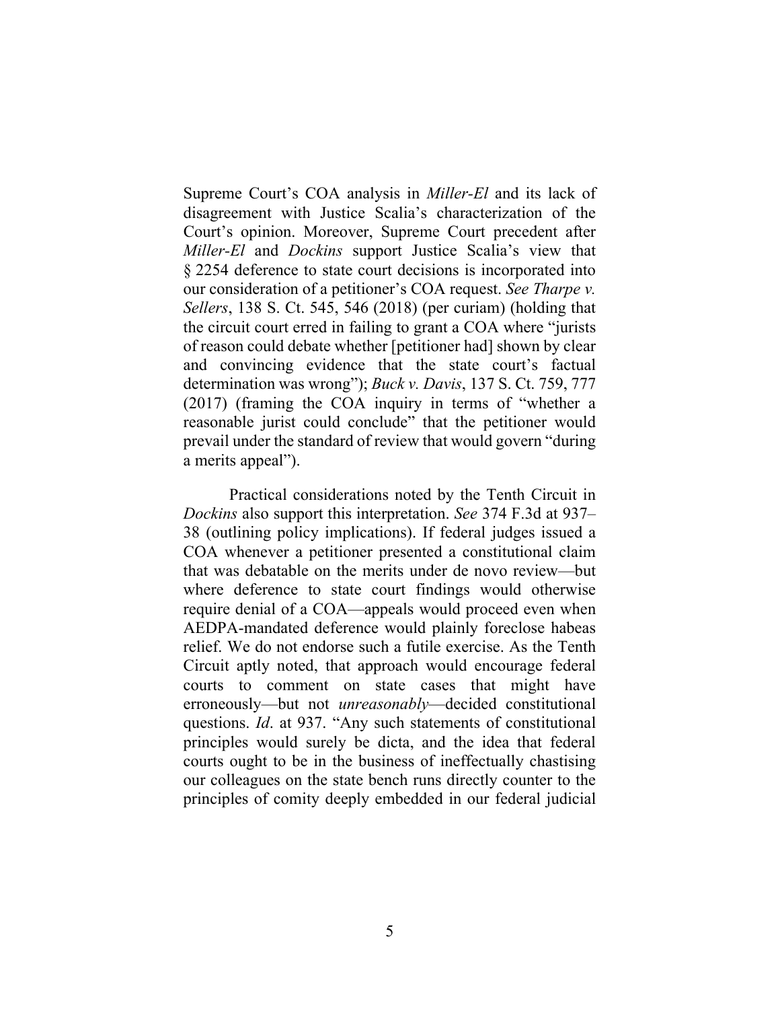Supreme Court's COA analysis in *Miller-El* and its lack of disagreement with Justice Scalia's characterization of the Court's opinion. Moreover, Supreme Court precedent after *Miller-El* and *Dockins* support Justice Scalia's view that § 2254 deference to state court decisions is incorporated into our consideration of a petitioner's COA request. *See Tharpe v. Sellers*, 138 S. Ct. 545, 546 (2018) (per curiam) (holding that the circuit court erred in failing to grant a COA where "jurists of reason could debate whether [petitioner had] shown by clear and convincing evidence that the state court's factual determination was wrong"); *Buck v. Davis*, 137 S. Ct. 759, 777 (2017) (framing the COA inquiry in terms of "whether a reasonable jurist could conclude" that the petitioner would prevail under the standard of review that would govern "during a merits appeal").

Practical considerations noted by the Tenth Circuit in *Dockins* also support this interpretation. *See* 374 F.3d at 937– 38 (outlining policy implications). If federal judges issued a COA whenever a petitioner presented a constitutional claim that was debatable on the merits under de novo review—but where deference to state court findings would otherwise require denial of a COA—appeals would proceed even when AEDPA-mandated deference would plainly foreclose habeas relief. We do not endorse such a futile exercise. As the Tenth Circuit aptly noted, that approach would encourage federal courts to comment on state cases that might have erroneously—but not *unreasonably*—decided constitutional questions. *Id*. at 937. "Any such statements of constitutional principles would surely be dicta, and the idea that federal courts ought to be in the business of ineffectually chastising our colleagues on the state bench runs directly counter to the principles of comity deeply embedded in our federal judicial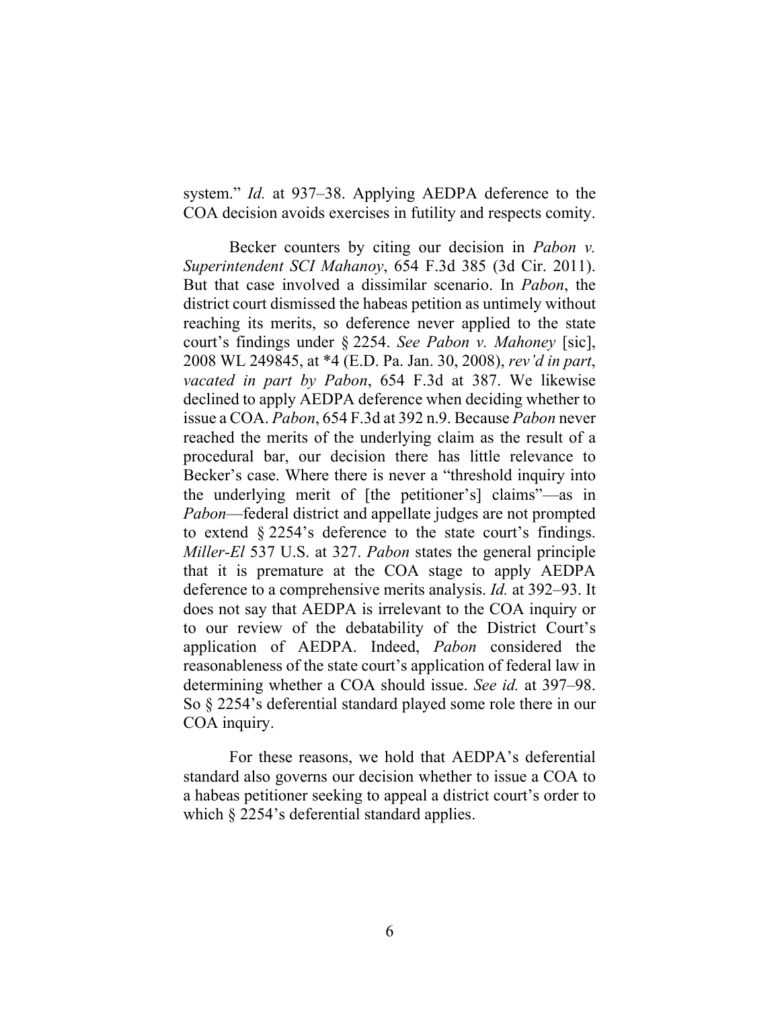system." *Id.* at 937–38. Applying AEDPA deference to the COA decision avoids exercises in futility and respects comity.

Becker counters by citing our decision in *Pabon v. Superintendent SCI Mahanoy*, 654 F.3d 385 (3d Cir. 2011). But that case involved a dissimilar scenario. In *Pabon*, the district court dismissed the habeas petition as untimely without reaching its merits, so deference never applied to the state court's findings under § 2254. *See Pabon v. Mahoney* [sic], 2008 WL 249845, at \*4 (E.D. Pa. Jan. 30, 2008), *rev'd in part*, *vacated in part by Pabon*, 654 F.3d at 387. We likewise declined to apply AEDPA deference when deciding whether to issue a COA. *Pabon*, 654 F.3d at 392 n.9. Because *Pabon* never reached the merits of the underlying claim as the result of a procedural bar, our decision there has little relevance to Becker's case. Where there is never a "threshold inquiry into the underlying merit of [the petitioner's] claims"—as in *Pabon*—federal district and appellate judges are not prompted to extend § 2254's deference to the state court's findings. *Miller-El* 537 U.S. at 327. *Pabon* states the general principle that it is premature at the COA stage to apply AEDPA deference to a comprehensive merits analysis. *Id.* at 392–93. It does not say that AEDPA is irrelevant to the COA inquiry or to our review of the debatability of the District Court's application of AEDPA. Indeed, *Pabon* considered the reasonableness of the state court's application of federal law in determining whether a COA should issue. *See id.* at 397–98. So § 2254's deferential standard played some role there in our COA inquiry.

For these reasons, we hold that AEDPA's deferential standard also governs our decision whether to issue a COA to a habeas petitioner seeking to appeal a district court's order to which  $\S 2254$ 's deferential standard applies.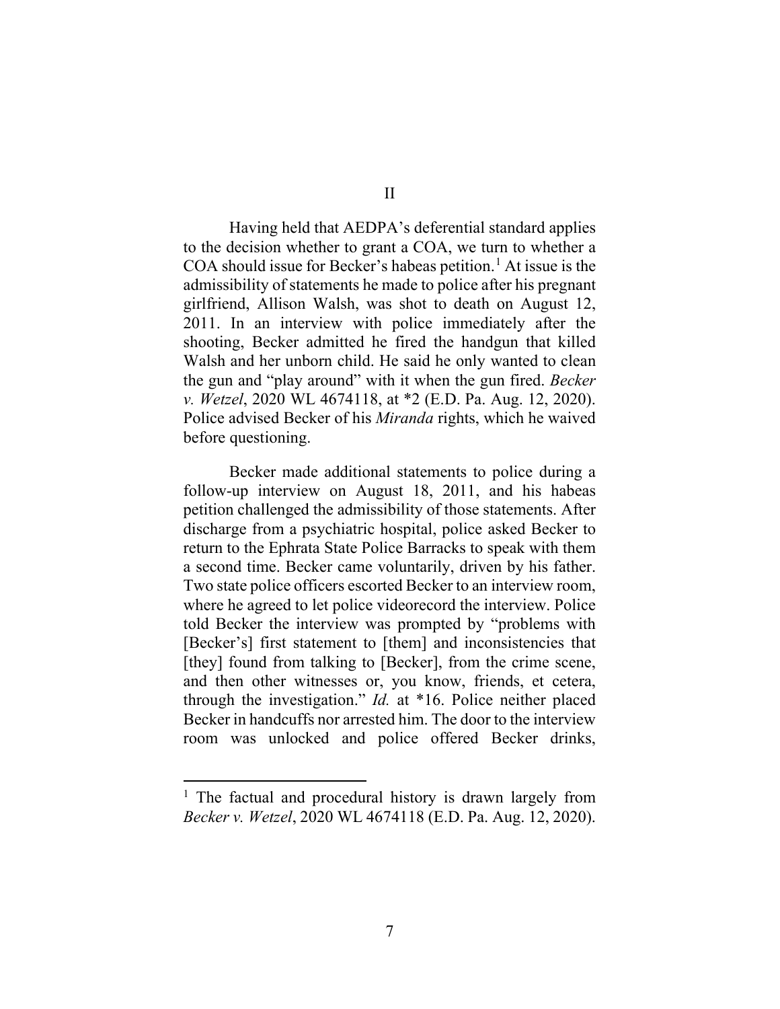Having held that AEDPA's deferential standard applies to the decision whether to grant a COA, we turn to whether a COA should issue for Becker's habeas petition. <sup>1</sup> At issue is the admissibility of statements he made to police after his pregnant girlfriend, Allison Walsh, was shot to death on August 12, 2011. In an interview with police immediately after the shooting, Becker admitted he fired the handgun that killed Walsh and her unborn child. He said he only wanted to clean the gun and "play around" with it when the gun fired. *Becker v. Wetzel*, 2020 WL 4674118, at \*2 (E.D. Pa. Aug. 12, 2020). Police advised Becker of his *Miranda* rights, which he waived before questioning.

Becker made additional statements to police during a follow-up interview on August 18, 2011, and his habeas petition challenged the admissibility of those statements. After discharge from a psychiatric hospital, police asked Becker to return to the Ephrata State Police Barracks to speak with them a second time. Becker came voluntarily, driven by his father. Two state police officers escorted Becker to an interview room, where he agreed to let police videorecord the interview. Police told Becker the interview was prompted by "problems with [Becker's] first statement to [them] and inconsistencies that [they] found from talking to [Becker], from the crime scene, and then other witnesses or, you know, friends, et cetera, through the investigation." *Id.* at \*16. Police neither placed Becker in handcuffs nor arrested him. The door to the interview room was unlocked and police offered Becker drinks,

<sup>&</sup>lt;sup>1</sup> The factual and procedural history is drawn largely from *Becker v. Wetzel*, 2020 WL 4674118 (E.D. Pa. Aug. 12, 2020).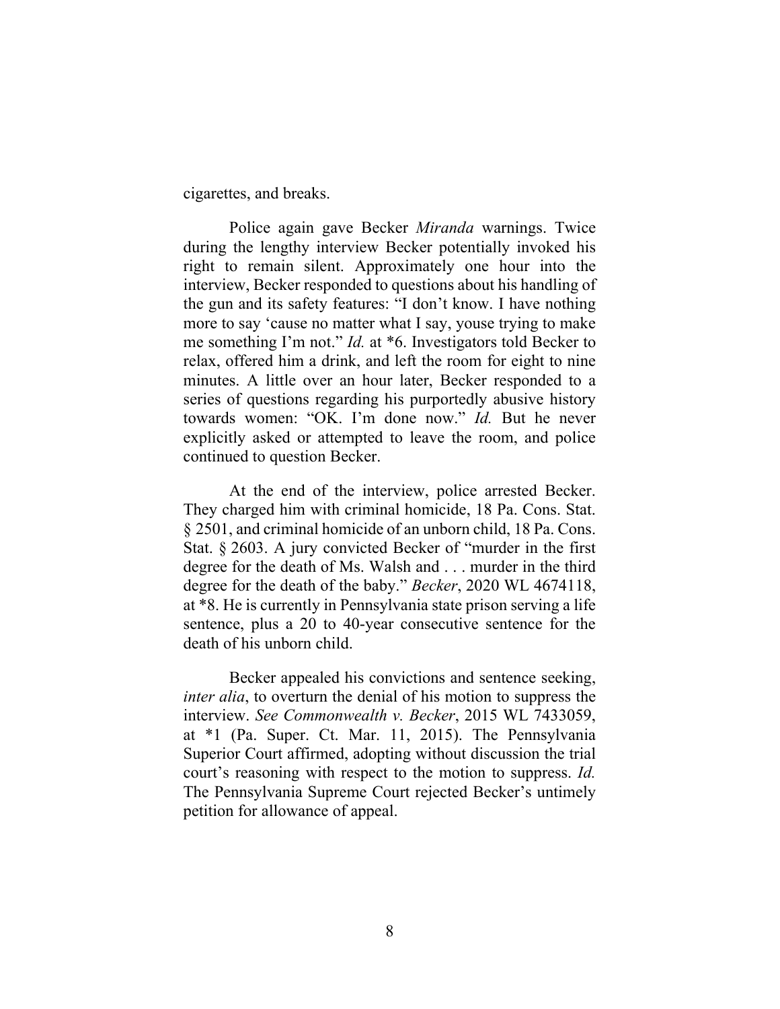cigarettes, and breaks.

Police again gave Becker *Miranda* warnings. Twice during the lengthy interview Becker potentially invoked his right to remain silent. Approximately one hour into the interview, Becker responded to questions about his handling of the gun and its safety features: "I don't know. I have nothing more to say 'cause no matter what I say, youse trying to make me something I'm not." *Id.* at \*6. Investigators told Becker to relax, offered him a drink, and left the room for eight to nine minutes. A little over an hour later, Becker responded to a series of questions regarding his purportedly abusive history towards women: "OK. I'm done now." *Id.* But he never explicitly asked or attempted to leave the room, and police continued to question Becker.

At the end of the interview, police arrested Becker. They charged him with criminal homicide, 18 Pa. Cons. Stat. § 2501, and criminal homicide of an unborn child, 18 Pa. Cons. Stat. § 2603. A jury convicted Becker of "murder in the first degree for the death of Ms. Walsh and . . . murder in the third degree for the death of the baby." *Becker*, 2020 WL 4674118, at \*8. He is currently in Pennsylvania state prison serving a life sentence, plus a 20 to 40-year consecutive sentence for the death of his unborn child.

Becker appealed his convictions and sentence seeking, *inter alia*, to overturn the denial of his motion to suppress the interview. *See Commonwealth v. Becker*, 2015 WL 7433059, at \*1 (Pa. Super. Ct. Mar. 11, 2015). The Pennsylvania Superior Court affirmed, adopting without discussion the trial court's reasoning with respect to the motion to suppress. *Id.* The Pennsylvania Supreme Court rejected Becker's untimely petition for allowance of appeal.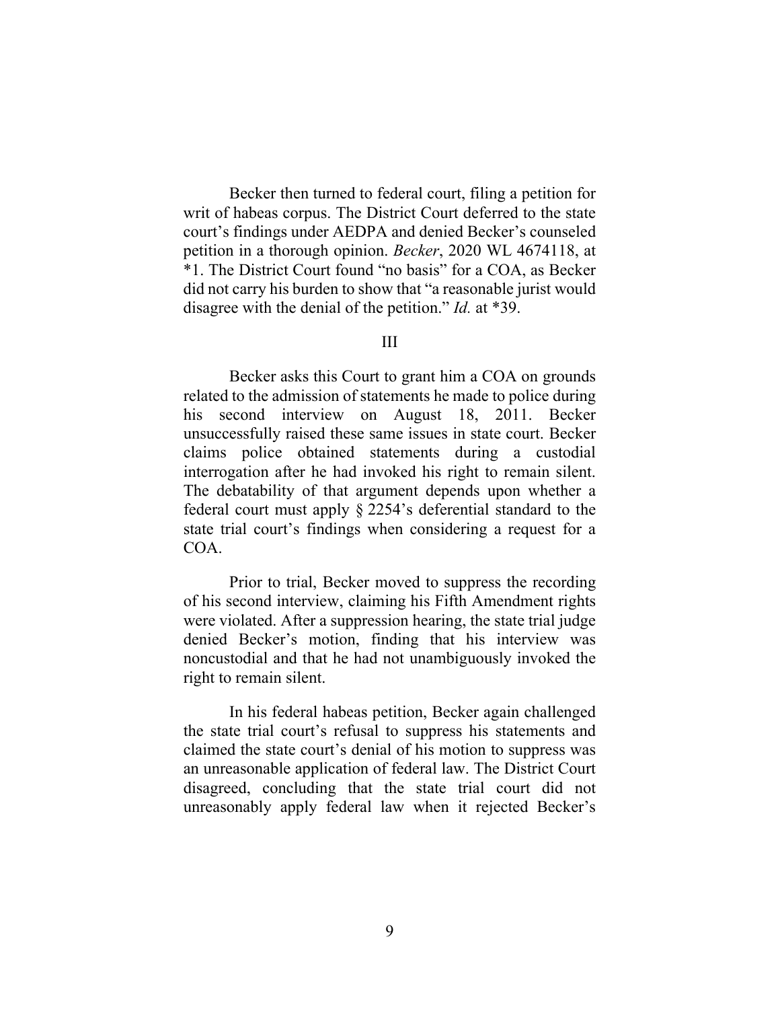Becker then turned to federal court, filing a petition for writ of habeas corpus. The District Court deferred to the state court's findings under AEDPA and denied Becker's counseled petition in a thorough opinion. *Becker*, 2020 WL 4674118, at \*1. The District Court found "no basis" for a COA, as Becker did not carry his burden to show that "a reasonable jurist would disagree with the denial of the petition." *Id.* at \*39.

#### III

Becker asks this Court to grant him a COA on grounds related to the admission of statements he made to police during his second interview on August 18, 2011. Becker unsuccessfully raised these same issues in state court. Becker claims police obtained statements during a custodial interrogation after he had invoked his right to remain silent. The debatability of that argument depends upon whether a federal court must apply § 2254's deferential standard to the state trial court's findings when considering a request for a COA.

Prior to trial, Becker moved to suppress the recording of his second interview, claiming his Fifth Amendment rights were violated. After a suppression hearing, the state trial judge denied Becker's motion, finding that his interview was noncustodial and that he had not unambiguously invoked the right to remain silent.

In his federal habeas petition, Becker again challenged the state trial court's refusal to suppress his statements and claimed the state court's denial of his motion to suppress was an unreasonable application of federal law. The District Court disagreed, concluding that the state trial court did not unreasonably apply federal law when it rejected Becker's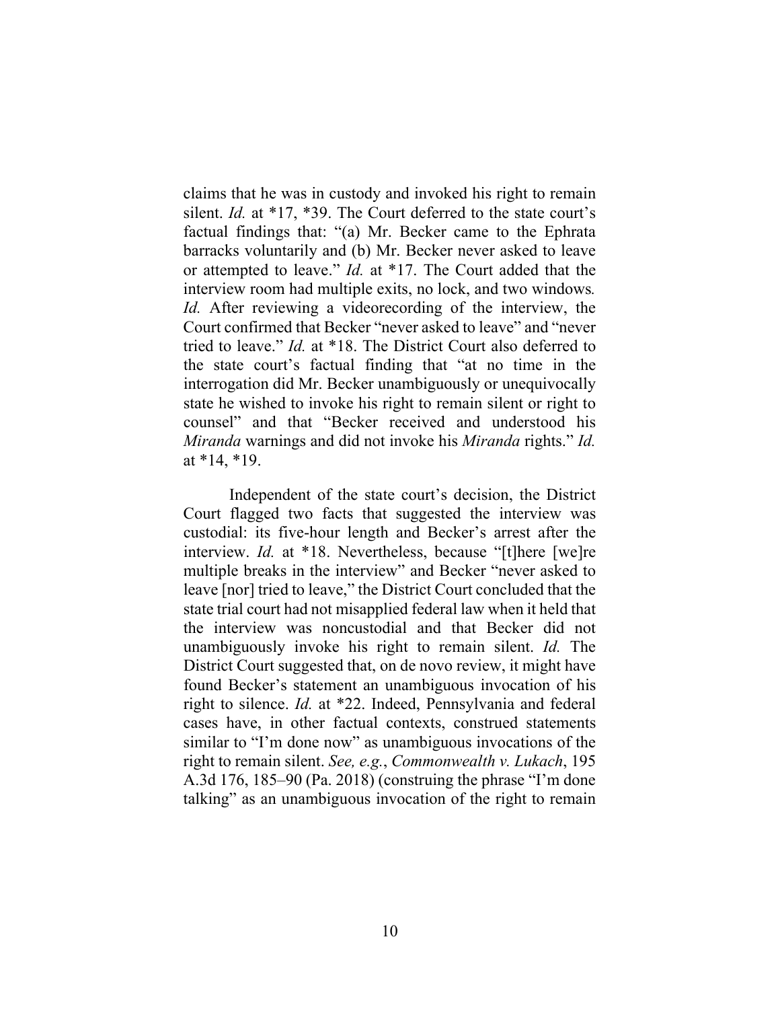claims that he was in custody and invoked his right to remain silent. *Id.* at \*17, \*39. The Court deferred to the state court's factual findings that: "(a) Mr. Becker came to the Ephrata barracks voluntarily and (b) Mr. Becker never asked to leave or attempted to leave." *Id.* at \*17. The Court added that the interview room had multiple exits, no lock, and two windows*. Id.* After reviewing a videorecording of the interview, the Court confirmed that Becker "never asked to leave" and "never tried to leave." *Id.* at \*18. The District Court also deferred to the state court's factual finding that "at no time in the interrogation did Mr. Becker unambiguously or unequivocally state he wished to invoke his right to remain silent or right to counsel" and that "Becker received and understood his *Miranda* warnings and did not invoke his *Miranda* rights." *Id.* at \*14, \*19.

Independent of the state court's decision, the District Court flagged two facts that suggested the interview was custodial: its five-hour length and Becker's arrest after the interview. *Id.* at \*18. Nevertheless, because "[t]here [we]re multiple breaks in the interview" and Becker "never asked to leave [nor] tried to leave," the District Court concluded that the state trial court had not misapplied federal law when it held that the interview was noncustodial and that Becker did not unambiguously invoke his right to remain silent. *Id.* The District Court suggested that, on de novo review, it might have found Becker's statement an unambiguous invocation of his right to silence. *Id.* at \*22. Indeed, Pennsylvania and federal cases have, in other factual contexts, construed statements similar to "I'm done now" as unambiguous invocations of the right to remain silent. *See, e.g.*, *Commonwealth v. Lukach*, 195 A.3d 176, 185–90 (Pa. 2018) (construing the phrase "I'm done talking" as an unambiguous invocation of the right to remain